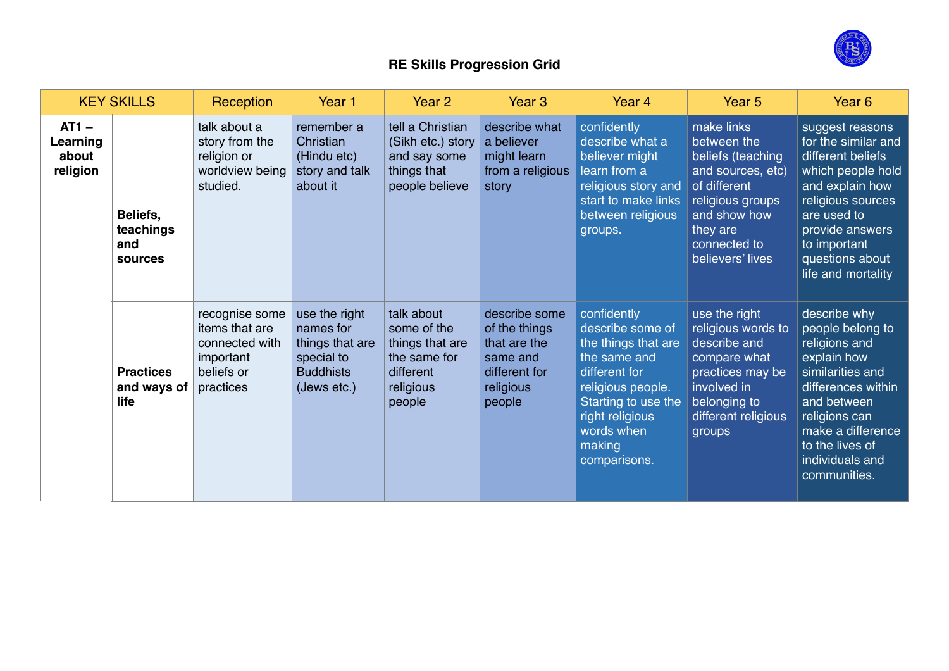

## **RE Skills Progression Grid**

| <b>KEY SKILLS</b>                        |                                         | Reception                                                                                  | Year 1                                                                                         | Year 2                                                                                           | Year <sub>3</sub>                                                                                  | Year 4                                                                                                                                                                                         | Year <sub>5</sub>                                                                                                                                                       | Year <sub>6</sub>                                                                                                                                                                                                     |
|------------------------------------------|-----------------------------------------|--------------------------------------------------------------------------------------------|------------------------------------------------------------------------------------------------|--------------------------------------------------------------------------------------------------|----------------------------------------------------------------------------------------------------|------------------------------------------------------------------------------------------------------------------------------------------------------------------------------------------------|-------------------------------------------------------------------------------------------------------------------------------------------------------------------------|-----------------------------------------------------------------------------------------------------------------------------------------------------------------------------------------------------------------------|
| $AT1 -$<br>Learning<br>about<br>religion | Beliefs,<br>teachings<br>and<br>sources | talk about a<br>story from the<br>religion or<br>worldview being<br>studied.               | remember a<br>Christian<br>(Hindu etc)<br>story and talk<br>about it                           | tell a Christian<br>(Sikh etc.) story<br>and say some<br>things that<br>people believe           | describe what<br>a believer<br>might learn<br>from a religious<br>story                            | confidently<br>describe what a<br>believer might<br>learn from a<br>religious story and<br>start to make links<br>between religious<br>groups.                                                 | make links<br>between the<br>beliefs (teaching<br>and sources, etc)<br>of different<br>religious groups<br>and show how<br>they are<br>connected to<br>believers' lives | suggest reasons<br>for the similar and<br>different beliefs<br>which people hold<br>and explain how<br>religious sources<br>are used to<br>provide answers<br>to important<br>questions about<br>life and mortality   |
|                                          | <b>Practices</b><br>and ways of<br>life | recognise some<br>items that are<br>connected with<br>important<br>beliefs or<br>practices | use the right<br>names for<br>things that are<br>special to<br><b>Buddhists</b><br>(Jews etc.) | talk about<br>some of the<br>things that are<br>the same for<br>different<br>religious<br>people | describe some<br>of the things<br>that are the<br>same and<br>different for<br>religious<br>people | confidently<br>describe some of<br>the things that are<br>the same and<br>different for<br>religious people.<br>Starting to use the<br>right religious<br>words when<br>making<br>comparisons. | use the right<br>religious words to<br>describe and<br>compare what<br>practices may be<br>involved in<br>belonging to<br>different religious<br>groups                 | describe why<br>people belong to<br>religions and<br>explain how<br>similarities and<br>differences within<br>and between<br>religions can<br>make a difference<br>to the lives of<br>individuals and<br>communities. |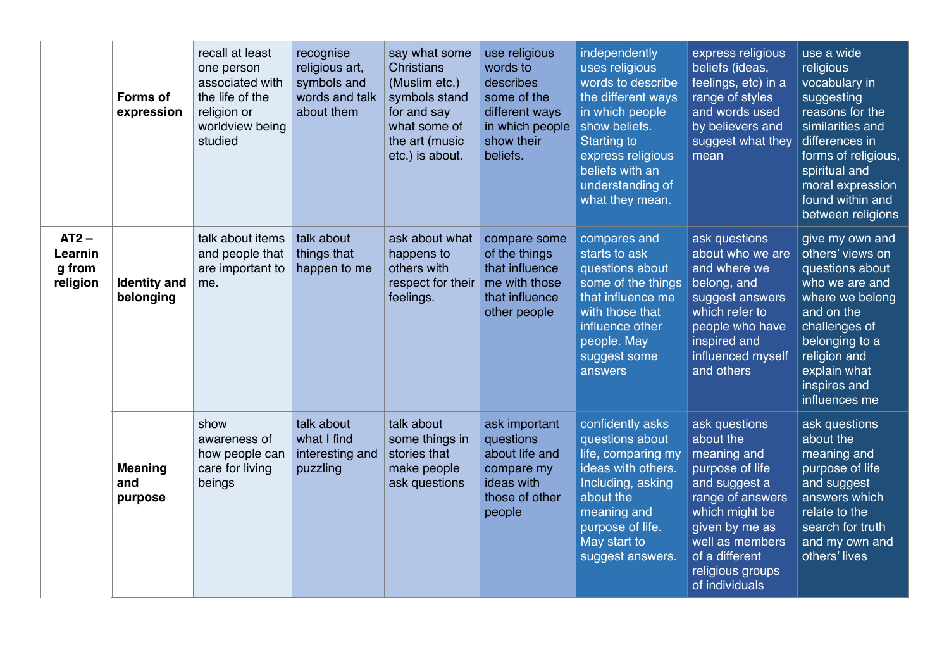|                                          | <b>Forms of</b><br>expression    | recall at least<br>one person<br>associated with<br>the life of the<br>religion or<br>worldview being<br>studied | recognise<br>religious art,<br>symbols and<br>words and talk<br>about them | say what some<br><b>Christians</b><br>(Muslim etc.)<br>symbols stand<br>for and say<br>what some of<br>the art (music<br>etc.) is about. | use religious<br>words to<br>describes<br>some of the<br>different ways<br>in which people<br>show their<br>beliefs. | independently<br>uses religious<br>words to describe<br>the different ways<br>in which people<br>show beliefs.<br><b>Starting to</b><br>express religious<br>beliefs with an<br>understanding of<br>what they mean. | express religious<br>beliefs (ideas,<br>feelings, etc) in a<br>range of styles<br>and words used<br>by believers and<br>suggest what they<br>mean                                                                | use a wide<br>religious<br>vocabulary in<br>suggesting<br>reasons for the<br>similarities and<br>differences in<br>forms of religious,<br>spiritual and<br>moral expression<br>found within and<br>between religions |
|------------------------------------------|----------------------------------|------------------------------------------------------------------------------------------------------------------|----------------------------------------------------------------------------|------------------------------------------------------------------------------------------------------------------------------------------|----------------------------------------------------------------------------------------------------------------------|---------------------------------------------------------------------------------------------------------------------------------------------------------------------------------------------------------------------|------------------------------------------------------------------------------------------------------------------------------------------------------------------------------------------------------------------|----------------------------------------------------------------------------------------------------------------------------------------------------------------------------------------------------------------------|
| $AT2 -$<br>Learnin<br>g from<br>religion | <b>Identity and</b><br>belonging | talk about items<br>and people that<br>are important to<br>me.                                                   | talk about<br>things that<br>happen to me                                  | ask about what<br>happens to<br>others with<br>respect for their<br>feelings.                                                            | compare some<br>of the things<br>that influence<br>me with those<br>that influence<br>other people                   | compares and<br>starts to ask<br>questions about<br>some of the things<br>that influence me<br>with those that<br>influence other<br>people. May<br>suggest some<br>answers                                         | ask questions<br>about who we are<br>and where we<br>belong, and<br>suggest answers<br>which refer to<br>people who have<br>inspired and<br>influenced myself<br>and others                                      | give my own and<br>others' views on<br>questions about<br>who we are and<br>where we belong<br>and on the<br>challenges of<br>belonging to a<br>religion and<br>explain what<br>inspires and<br>influences me        |
|                                          | <b>Meaning</b><br>and<br>purpose | show<br>awareness of<br>how people can<br>care for living<br>beings                                              | talk about<br>what I find<br>interesting and<br>puzzling                   | talk about<br>some things in<br>stories that<br>make people<br>ask questions                                                             | ask important<br>questions<br>about life and<br>compare my<br>ideas with<br>those of other<br>people                 | confidently asks<br>questions about<br>life, comparing my<br>ideas with others.<br>Including, asking<br>about the<br>meaning and<br>purpose of life.<br>May start to<br>suggest answers.                            | ask questions<br>about the<br>meaning and<br>purpose of life<br>and suggest a<br>range of answers<br>which might be<br>given by me as<br>well as members<br>of a different<br>religious groups<br>of individuals | ask questions<br>about the<br>meaning and<br>purpose of life<br>and suggest<br>answers which<br>relate to the<br>search for truth<br>and my own and<br>others' lives                                                 |